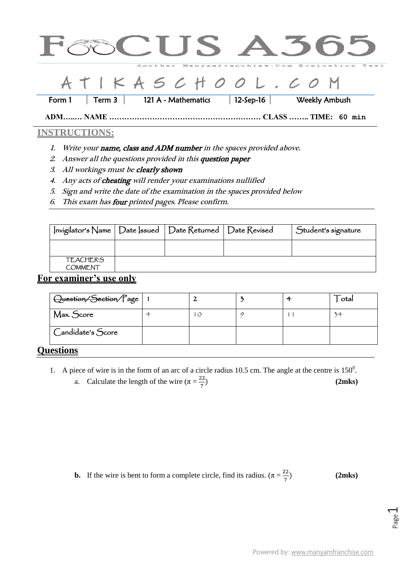

## $I K A S C H O O L . C O$

Form 1 Term 3 121 A - Mathematics 12-Sep-16 Weekly Ambush

**ADM…..… NAME …………………………………………………… CLASS …….. TIME: 60 min**

## **INSTRUCTIONS:**

- 1. Write your name, class and ADM number in the spaces provided above.
- 2. Answer all the questions provided in this question paper
- 3. All workings must be clearly shown
- 4. Any acts of cheating will render your examinations nullified
- 5. Sign and write the date of the examination in the spaces provided below
- 6. This exam has four printed pages. Please confirm.

| Invigilator's Name   Date  ssued   Date Returned   Date Revised |  | Student's signature |
|-----------------------------------------------------------------|--|---------------------|
|                                                                 |  |                     |
| <b>TEACHER'S</b><br><b>COMMENT</b>                              |  |                     |

## **For examiner's use only**

| Question/Section/Page   1         |   |  | otal |
|-----------------------------------|---|--|------|
| Max. Score                        | 4 |  | 34   |
| Candidate's Score                 |   |  |      |
| $\overline{a}$ and $\overline{a}$ |   |  |      |

## **Questions**

- 1. A piece of wire is in the form of an arc of a circle radius 10.5 cm. The angle at the centre is  $150^{\circ}$ .
	- a. Calculate the length of the wire  $(\pi = \frac{2}{\pi})$ 7

**b.** If the wire is bent to form a complete circle, find its radius.  $(\pi = \frac{2}{\pi})$ 

**(2mks)**

**(2mks)**

Page  $\overline{\phantom{0}}$ 

7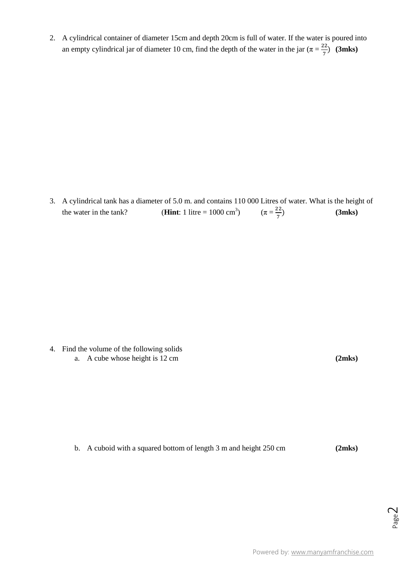2. A cylindrical container of diameter 15cm and depth 20cm is full of water. If the water is poured into an empty cylindrical jar of diameter 10 cm, find the depth of the water in the jar ( $\pi = \frac{2}{5}$  $\frac{22}{7}$  (3mks)

3. A cylindrical tank has a diameter of 5.0 m. and contains 110 000 Litres of water. What is the height of the water in the tank? **(Hint**: 1 litre =  $1000 \text{ cm}^3$ ) )  $(\pi = \frac{2}{7})$ 7 **(3mks)**

4. Find the volume of the following solids a. A cube whose height is 12 cm **(2mks)**

b. A cuboid with a squared bottom of length 3 m and height 250 cm **(2mks)**

Page  $\overline{\curvearrowright}$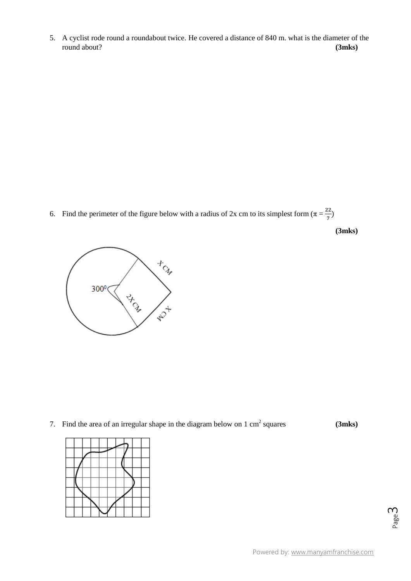5. A cyclist rode round a roundabout twice. He covered a distance of 840 m. what is the diameter of the round about? **(3mks)**

6. Find the perimeter of the figure below with a radius of 2x cm to its simplest form  $(\pi = \frac{2}{\pi})$  $\frac{22}{7})$ 





7. Find the area of an irregular shape in the diagram below on  $1 \text{ cm}^2$  squares  $(3 \text{m} \text{ks})$ 



Page ന